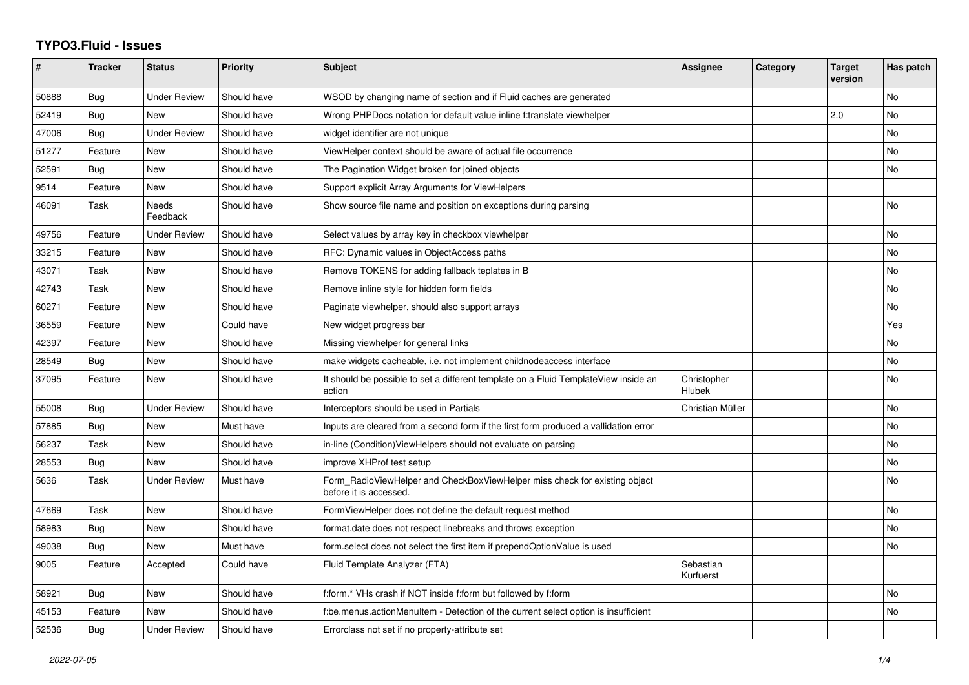## **TYPO3.Fluid - Issues**

| #     | <b>Tracker</b> | <b>Status</b>            | <b>Priority</b> | <b>Subject</b>                                                                                       | Assignee               | Category | <b>Target</b><br>version | Has patch      |
|-------|----------------|--------------------------|-----------------|------------------------------------------------------------------------------------------------------|------------------------|----------|--------------------------|----------------|
| 50888 | Bug            | <b>Under Review</b>      | Should have     | WSOD by changing name of section and if Fluid caches are generated                                   |                        |          |                          | No             |
| 52419 | Bug            | <b>New</b>               | Should have     | Wrong PHPDocs notation for default value inline f:translate viewhelper                               |                        |          | 2.0                      | No             |
| 47006 | Bug            | <b>Under Review</b>      | Should have     | widget identifier are not unique                                                                     |                        |          |                          | No             |
| 51277 | Feature        | New                      | Should have     | ViewHelper context should be aware of actual file occurrence                                         |                        |          |                          | No             |
| 52591 | Bug            | <b>New</b>               | Should have     | The Pagination Widget broken for joined objects                                                      |                        |          |                          | No             |
| 9514  | Feature        | <b>New</b>               | Should have     | Support explicit Array Arguments for ViewHelpers                                                     |                        |          |                          |                |
| 46091 | Task           | <b>Needs</b><br>Feedback | Should have     | Show source file name and position on exceptions during parsing                                      |                        |          |                          | No             |
| 49756 | Feature        | <b>Under Review</b>      | Should have     | Select values by array key in checkbox viewhelper                                                    |                        |          |                          | No             |
| 33215 | Feature        | <b>New</b>               | Should have     | RFC: Dynamic values in ObjectAccess paths                                                            |                        |          |                          | <b>No</b>      |
| 43071 | Task           | <b>New</b>               | Should have     | Remove TOKENS for adding fallback teplates in B                                                      |                        |          |                          | No             |
| 42743 | Task           | New                      | Should have     | Remove inline style for hidden form fields                                                           |                        |          |                          | No             |
| 60271 | Feature        | New                      | Should have     | Paginate viewhelper, should also support arrays                                                      |                        |          |                          | No.            |
| 36559 | Feature        | <b>New</b>               | Could have      | New widget progress bar                                                                              |                        |          |                          | Yes            |
| 42397 | Feature        | <b>New</b>               | Should have     | Missing viewhelper for general links                                                                 |                        |          |                          | N <sub>o</sub> |
| 28549 | Bug            | <b>New</b>               | Should have     | make widgets cacheable, i.e. not implement childnodeaccess interface                                 |                        |          |                          | No             |
| 37095 | Feature        | New                      | Should have     | It should be possible to set a different template on a Fluid TemplateView inside an<br>action        | Christopher<br>Hlubek  |          |                          | No.            |
| 55008 | Bug            | <b>Under Review</b>      | Should have     | Interceptors should be used in Partials                                                              | Christian Müller       |          |                          | No             |
| 57885 | Bug            | <b>New</b>               | Must have       | Inputs are cleared from a second form if the first form produced a vallidation error                 |                        |          |                          | No             |
| 56237 | Task           | New                      | Should have     | in-line (Condition) View Helpers should not evaluate on parsing                                      |                        |          |                          | No             |
| 28553 | Bug            | <b>New</b>               | Should have     | improve XHProf test setup                                                                            |                        |          |                          | No             |
| 5636  | Task           | <b>Under Review</b>      | Must have       | Form_RadioViewHelper and CheckBoxViewHelper miss check for existing object<br>before it is accessed. |                        |          |                          | No             |
| 47669 | Task           | <b>New</b>               | Should have     | FormViewHelper does not define the default request method                                            |                        |          |                          | No             |
| 58983 | Bug            | <b>New</b>               | Should have     | format.date does not respect linebreaks and throws exception                                         |                        |          |                          | No             |
| 49038 | Bug            | <b>New</b>               | Must have       | form select does not select the first item if prependOptionValue is used                             |                        |          |                          | No             |
| 9005  | Feature        | Accepted                 | Could have      | Fluid Template Analyzer (FTA)                                                                        | Sebastian<br>Kurfuerst |          |                          |                |
| 58921 | <b>Bug</b>     | <b>New</b>               | Should have     | f:form.* VHs crash if NOT inside f:form but followed by f:form                                       |                        |          |                          | <b>No</b>      |
| 45153 | Feature        | <b>New</b>               | Should have     | f:be.menus.actionMenuItem - Detection of the current select option is insufficient                   |                        |          |                          | No             |
| 52536 | Bug            | <b>Under Review</b>      | Should have     | Errorclass not set if no property-attribute set                                                      |                        |          |                          |                |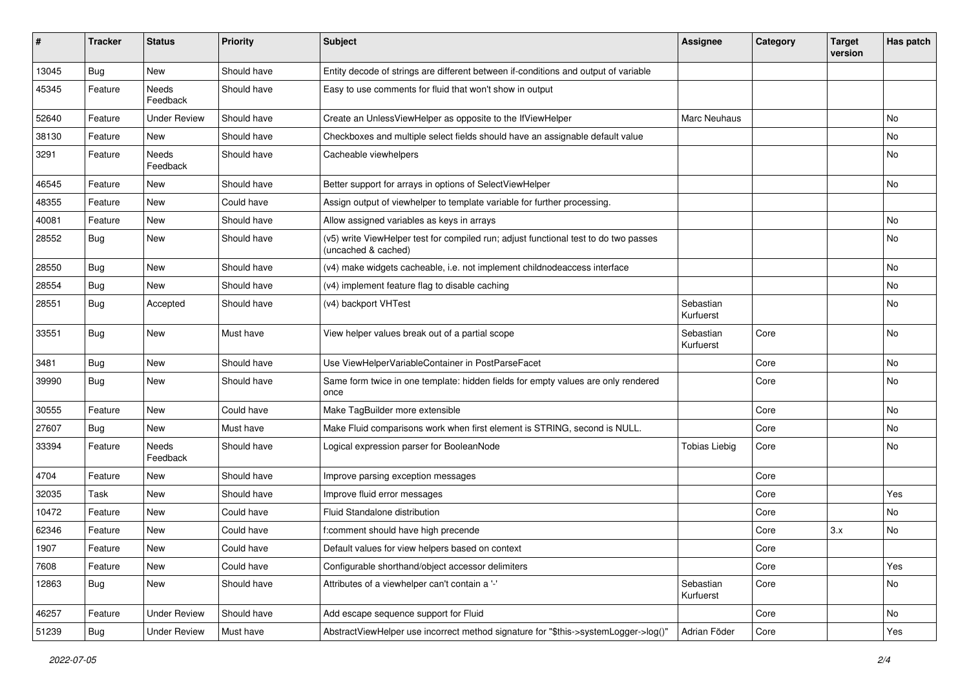| #     | <b>Tracker</b> | <b>Status</b>       | <b>Priority</b> | <b>Subject</b>                                                                                              | <b>Assignee</b>        | Category | <b>Target</b><br>version | Has patch |
|-------|----------------|---------------------|-----------------|-------------------------------------------------------------------------------------------------------------|------------------------|----------|--------------------------|-----------|
| 13045 | Bug            | New                 | Should have     | Entity decode of strings are different between if-conditions and output of variable                         |                        |          |                          |           |
| 45345 | Feature        | Needs<br>Feedback   | Should have     | Easy to use comments for fluid that won't show in output                                                    |                        |          |                          |           |
| 52640 | Feature        | <b>Under Review</b> | Should have     | Create an UnlessViewHelper as opposite to the IfViewHelper                                                  | Marc Neuhaus           |          |                          | No        |
| 38130 | Feature        | New                 | Should have     | Checkboxes and multiple select fields should have an assignable default value                               |                        |          |                          | No        |
| 3291  | Feature        | Needs<br>Feedback   | Should have     | Cacheable viewhelpers                                                                                       |                        |          |                          | No        |
| 46545 | Feature        | New                 | Should have     | Better support for arrays in options of SelectViewHelper                                                    |                        |          |                          | No        |
| 48355 | Feature        | <b>New</b>          | Could have      | Assign output of viewhelper to template variable for further processing.                                    |                        |          |                          |           |
| 40081 | Feature        | New                 | Should have     | Allow assigned variables as keys in arrays                                                                  |                        |          |                          | No        |
| 28552 | <b>Bug</b>     | New                 | Should have     | (v5) write ViewHelper test for compiled run; adjust functional test to do two passes<br>(uncached & cached) |                        |          |                          | No        |
| 28550 | Bug            | <b>New</b>          | Should have     | (v4) make widgets cacheable, i.e. not implement childnodeaccess interface                                   |                        |          |                          | No        |
| 28554 | Bug            | <b>New</b>          | Should have     | (v4) implement feature flag to disable caching                                                              |                        |          |                          | <b>No</b> |
| 28551 | Bug            | Accepted            | Should have     | (v4) backport VHTest                                                                                        | Sebastian<br>Kurfuerst |          |                          | No        |
| 33551 | Bug            | <b>New</b>          | Must have       | View helper values break out of a partial scope                                                             | Sebastian<br>Kurfuerst | Core     |                          | No        |
| 3481  | Bug            | <b>New</b>          | Should have     | Use ViewHelperVariableContainer in PostParseFacet                                                           |                        | Core     |                          | No        |
| 39990 | Bug            | <b>New</b>          | Should have     | Same form twice in one template: hidden fields for empty values are only rendered<br>once                   |                        | Core     |                          | No        |
| 30555 | Feature        | New                 | Could have      | Make TagBuilder more extensible                                                                             |                        | Core     |                          | <b>No</b> |
| 27607 | Bug            | New                 | Must have       | Make Fluid comparisons work when first element is STRING, second is NULL.                                   |                        | Core     |                          | No        |
| 33394 | Feature        | Needs<br>Feedback   | Should have     | Logical expression parser for BooleanNode                                                                   | <b>Tobias Liebig</b>   | Core     |                          | No        |
| 4704  | Feature        | New                 | Should have     | Improve parsing exception messages                                                                          |                        | Core     |                          |           |
| 32035 | Task           | New                 | Should have     | Improve fluid error messages                                                                                |                        | Core     |                          | Yes       |
| 10472 | Feature        | New                 | Could have      | Fluid Standalone distribution                                                                               |                        | Core     |                          | No        |
| 62346 | Feature        | New                 | Could have      | f:comment should have high precende                                                                         |                        | Core     | 3.x                      | No        |
| 1907  | Feature        | New                 | Could have      | Default values for view helpers based on context                                                            |                        | Core     |                          |           |
| 7608  | Feature        | New                 | Could have      | Configurable shorthand/object accessor delimiters                                                           |                        | Core     |                          | Yes       |
| 12863 | Bug            | New                 | Should have     | Attributes of a viewhelper can't contain a '-'                                                              | Sebastian<br>Kurfuerst | Core     |                          | No        |
| 46257 | Feature        | <b>Under Review</b> | Should have     | Add escape sequence support for Fluid                                                                       |                        | Core     |                          | No        |
| 51239 | <b>Bug</b>     | <b>Under Review</b> | Must have       | AbstractViewHelper use incorrect method signature for "\$this->systemLogger->log()"                         | Adrian Föder           | Core     |                          | Yes       |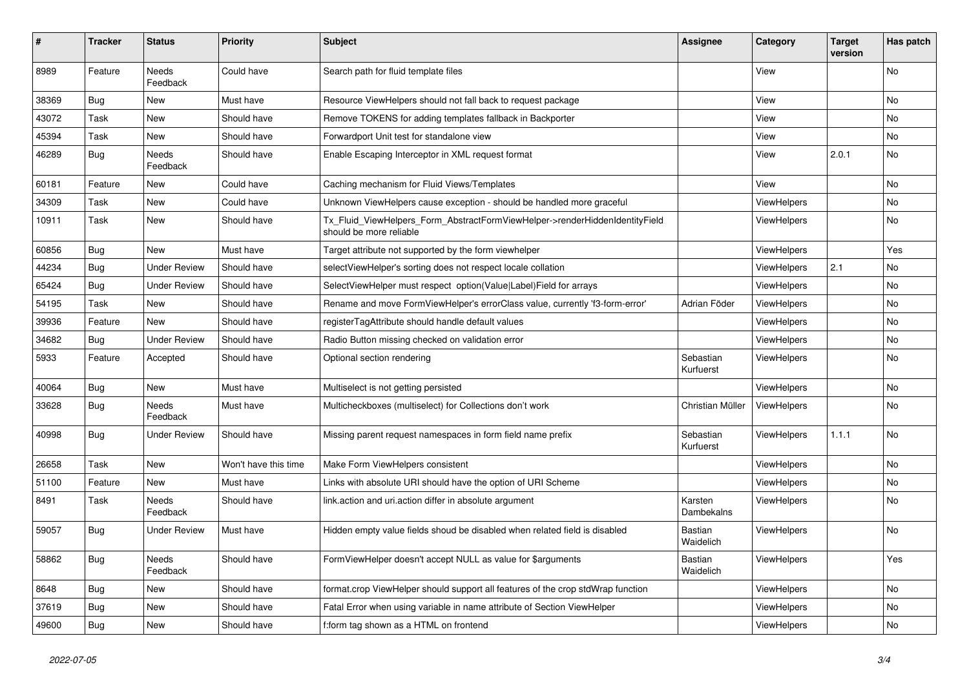| #     | <b>Tracker</b> | <b>Status</b>            | <b>Priority</b>      | <b>Subject</b>                                                                                         | Assignee               | Category           | <b>Target</b><br>version | Has patch |
|-------|----------------|--------------------------|----------------------|--------------------------------------------------------------------------------------------------------|------------------------|--------------------|--------------------------|-----------|
| 8989  | Feature        | <b>Needs</b><br>Feedback | Could have           | Search path for fluid template files                                                                   |                        | View               |                          | <b>No</b> |
| 38369 | <b>Bug</b>     | New                      | Must have            | Resource ViewHelpers should not fall back to request package                                           |                        | View               |                          | No        |
| 43072 | Task           | New                      | Should have          | Remove TOKENS for adding templates fallback in Backporter                                              |                        | View               |                          | No        |
| 45394 | Task           | <b>New</b>               | Should have          | Forwardport Unit test for standalone view                                                              |                        | View               |                          | No.       |
| 46289 | <b>Bug</b>     | <b>Needs</b><br>Feedback | Should have          | Enable Escaping Interceptor in XML request format                                                      |                        | View               | 2.0.1                    | No        |
| 60181 | Feature        | New                      | Could have           | Caching mechanism for Fluid Views/Templates                                                            |                        | View               |                          | No.       |
| 34309 | Task           | New                      | Could have           | Unknown ViewHelpers cause exception - should be handled more graceful                                  |                        | <b>ViewHelpers</b> |                          | No        |
| 10911 | Task           | New                      | Should have          | Tx_Fluid_ViewHelpers_Form_AbstractFormViewHelper->renderHiddenIdentityField<br>should be more reliable |                        | ViewHelpers        |                          | No        |
| 60856 | <b>Bug</b>     | <b>New</b>               | Must have            | Target attribute not supported by the form viewhelper                                                  |                        | <b>ViewHelpers</b> |                          | Yes       |
| 44234 | <b>Bug</b>     | <b>Under Review</b>      | Should have          | selectViewHelper's sorting does not respect locale collation                                           |                        | ViewHelpers        | 2.1                      | No        |
| 65424 | Bug            | <b>Under Review</b>      | Should have          | SelectViewHelper must respect option(Value Label)Field for arrays                                      |                        | ViewHelpers        |                          | No        |
| 54195 | Task           | <b>New</b>               | Should have          | Rename and move FormViewHelper's errorClass value, currently 'f3-form-error'                           | Adrian Föder           | <b>ViewHelpers</b> |                          | No        |
| 39936 | Feature        | <b>New</b>               | Should have          | registerTagAttribute should handle default values                                                      |                        | <b>ViewHelpers</b> |                          | No.       |
| 34682 | <b>Bug</b>     | <b>Under Review</b>      | Should have          | Radio Button missing checked on validation error                                                       |                        | <b>ViewHelpers</b> |                          | No.       |
| 5933  | Feature        | Accepted                 | Should have          | Optional section rendering                                                                             | Sebastian<br>Kurfuerst | <b>ViewHelpers</b> |                          | <b>No</b> |
| 40064 | Bug            | New                      | Must have            | Multiselect is not getting persisted                                                                   |                        | <b>ViewHelpers</b> |                          | No        |
| 33628 | <b>Bug</b>     | Needs<br>Feedback        | Must have            | Multicheckboxes (multiselect) for Collections don't work                                               | Christian Müller       | ViewHelpers        |                          | No        |
| 40998 | <b>Bug</b>     | Under Review             | Should have          | Missing parent request namespaces in form field name prefix                                            | Sebastian<br>Kurfuerst | <b>ViewHelpers</b> | 1.1.1                    | No.       |
| 26658 | Task           | <b>New</b>               | Won't have this time | Make Form ViewHelpers consistent                                                                       |                        | <b>ViewHelpers</b> |                          | No        |
| 51100 | Feature        | New                      | Must have            | Links with absolute URI should have the option of URI Scheme                                           |                        | <b>ViewHelpers</b> |                          | No.       |
| 8491  | Task           | Needs<br>Feedback        | Should have          | link.action and uri.action differ in absolute argument                                                 | Karsten<br>Dambekalns  | ViewHelpers        |                          | <b>No</b> |
| 59057 | <b>Bug</b>     | <b>Under Review</b>      | Must have            | Hidden empty value fields shoud be disabled when related field is disabled                             | Bastian<br>Waidelich   | <b>ViewHelpers</b> |                          | No        |
| 58862 | <b>Bug</b>     | <b>Needs</b><br>Feedback | Should have          | FormViewHelper doesn't accept NULL as value for \$arguments                                            | Bastian<br>Waidelich   | <b>ViewHelpers</b> |                          | Yes       |
| 8648  | <b>Bug</b>     | New                      | Should have          | format.crop ViewHelper should support all features of the crop stdWrap function                        |                        | <b>ViewHelpers</b> |                          | <b>No</b> |
| 37619 | Bug            | <b>New</b>               | Should have          | Fatal Error when using variable in name attribute of Section ViewHelper                                |                        | ViewHelpers        |                          | <b>No</b> |
| 49600 | <b>Bug</b>     | <b>New</b>               | Should have          | f:form tag shown as a HTML on frontend                                                                 |                        | ViewHelpers        |                          | No        |